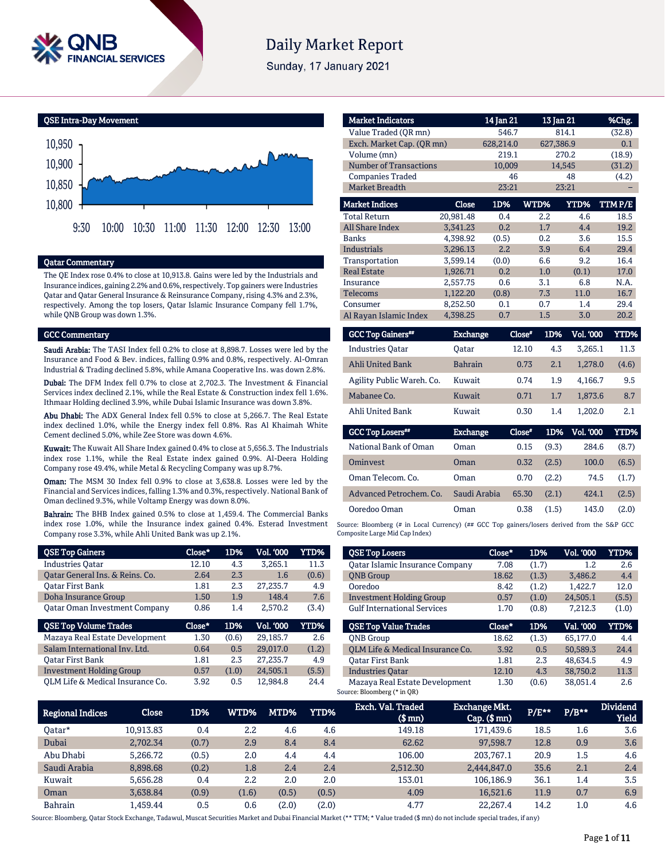

# **Daily Market Report**

Sunday, 17 January 2021

QSE Intra-Day Movement



#### Qatar Commentary

The QE Index rose 0.4% to close at 10,913.8. Gains were led by the Industrials and Insurance indices, gaining 2.2% and 0.6%, respectively. Top gainers were Industries Qatar and Qatar General Insurance & Reinsurance Company, rising 4.3% and 2.3%, respectively. Among the top losers, Qatar Islamic Insurance Company fell 1.7%, while QNB Group was down 1.3%.

#### GCC Commentary

Saudi Arabia: The TASI Index fell 0.2% to close at 8,898.7. Losses were led by the Insurance and Food & Bev. indices, falling 0.9% and 0.8%, respectively. Al-Omran Industrial & Trading declined 5.8%, while Amana Cooperative Ins. was down 2.8%.

Dubai: The DFM Index fell 0.7% to close at 2,702.3. The Investment & Financial Services index declined 2.1%, while the Real Estate & Construction index fell 1.6%. Ithmaar Holding declined 3.9%, while Dubai Islamic Insurance was down 3.8%.

Abu Dhabi: The ADX General Index fell 0.5% to close at 5,266.7. The Real Estate index declined 1.0%, while the Energy index fell 0.8%. Ras Al Khaimah White Cement declined 5.0%, while Zee Store was down 4.6%.

Kuwait: The Kuwait All Share Index gained 0.4% to close at 5,656.3. The Industrials index rose 1.1%, while the Real Estate index gained 0.9%. Al-Deera Holding Company rose 49.4%, while Metal & Recycling Company was up 8.7%.

Oman: The MSM 30 Index fell 0.9% to close at 3,638.8. Losses were led by the Financial and Services indices, falling 1.3% and 0.3%, respectively. National Bank of Oman declined 9.3%, while Voltamp Energy was down 8.0%.

Bahrain: The BHB Index gained 0.5% to close at 1,459.4. The Commercial Banks index rose 1.0%, while the Insurance index gained 0.4%. Esterad Investment Company rose 3.3%, while Ahli United Bank was up 2.1%.

| <b>QSE Top Gainers</b>               | Close* | 1D%   | Vol. '000 | <b>YTD%</b> |
|--------------------------------------|--------|-------|-----------|-------------|
| <b>Industries Oatar</b>              | 12.10  | 4.3   | 3.265.1   | 11.3        |
| Oatar General Ins. & Reins. Co.      | 2.64   | 2.3   | 1.6       | (0.6)       |
| Oatar First Bank                     | 1.81   | 2.3   | 27.235.7  | 4.9         |
| Doha Insurance Group                 | 1.50   | 1.9   | 148.4     | 7.6         |
| <b>Qatar Oman Investment Company</b> | 0.86   | 1.4   | 2.570.2   | (3.4)       |
|                                      |        |       |           |             |
| <b>QSE Top Volume Trades</b>         | Close* | 1D%   | Vol. '000 | YTD%        |
| Mazaya Real Estate Development       | 1.30   | (0.6) | 29,185.7  | 2.6         |
| Salam International Inv. Ltd.        | 0.64   | 0.5   | 29.017.0  | (1.2)       |
| <b>Oatar First Bank</b>              | 1.81   | 2.3   | 27.235.7  | 4.9         |
| <b>Investment Holding Group</b>      | 0.57   | (1.0) | 24.505.1  | (5.5)       |

| <b>Market Indicators</b>                             |             | 14 Jan 21 |                  | 13 Jan 21                        | %Chg.  |
|------------------------------------------------------|-------------|-----------|------------------|----------------------------------|--------|
| Value Traded (OR mn)                                 |             | 546.7     |                  | 814.1                            | (32.8) |
| Exch. Market Cap. (QR mn)                            |             | 628,214.0 |                  | 627,386.9                        | 0.1    |
| Volume (mn)                                          |             | 219.1     |                  | 270.2                            | (18.9) |
| <b>Number of Transactions</b>                        |             | 10,009    |                  | 14,545                           | (31.2) |
| <b>Companies Traded</b>                              |             | 46        |                  | 48                               | (4.2)  |
| <b>Market Breadth</b>                                |             | 23:21     |                  | 23:21                            |        |
| <b>Market Indices</b>                                | Close       | 1D%       | WTD%             | YTD%                             | TTMP/E |
| <b>Total Return</b>                                  | 20,981.48   | 0.4       | $2.2\phantom{0}$ | 4.6                              | 18.5   |
| <b>All Share Index</b>                               | 3,341.23    | 0.2       | 1.7              | 4.4                              | 19.2   |
| <b>Banks</b>                                         | 4,398.92    | (0.5)     | 0.2              | 3.6                              | 15.5   |
| <b>Industrials</b>                                   | 3.296.13    | 2.2       | 3.9              | 6.4                              | 29.4   |
| Transportation                                       | 3,599.14    | (0.0)     | 6.6              | 9.2                              | 16.4   |
| <b>Real Estate</b>                                   | 1,926.71    | 0.2       | 1.0              | (0.1)                            | 17.0   |
| Insurance                                            | 2,557.75    | 0.6       | 3.1              | 6.8                              | N.A.   |
| <b>Telecoms</b>                                      | 1,122.20    | (0.8)     | 7.3              | 11.0                             | 16.7   |
| Consumer                                             | 8,252.50    | 0.1       | 0.7              | 1.4                              | 29.4   |
| Al Rayan Islamic Index                               | 4,398.25    | 0.7       | 1.5              | 3.0                              | 20.2   |
| <b>GCC Top Gainers</b> "                             | Exchange    |           | Close*<br>1D%    | <b>Vol. '000</b>                 | YTD%   |
| $T_{\text{eq}}$ decay decay $\bigcap_{n=1}^{\infty}$ | $0 - 1 - 1$ |           | 10.10            | $\overline{A}$<br><b>7.000.1</b> | 117    |

| <b>Industries Oatar</b>   | Oatar          | 12.10 | 4.3 | 3.265.1 | 11.3  |
|---------------------------|----------------|-------|-----|---------|-------|
| <b>Ahli United Bank</b>   | <b>Bahrain</b> | 0.73  | 2.1 | 1.278.0 | (4.6) |
| Agility Public Wareh. Co. | Kuwait         | 0.74  | 1.9 | 4.166.7 | 9.5   |
| Mabanee Co.               | Kuwait         | 0.71  | 1.7 | 1.873.6 | 8.7   |
| Ahli United Bank          | Kuwait         | 0.30  | 1.4 | 1.202.0 | 2.1   |

| <b>GCC Top Losers</b>   | <b>Exchange</b> | Close* | 1D%   | Vol. 000 | YTD%  |
|-------------------------|-----------------|--------|-------|----------|-------|
| National Bank of Oman   | Oman            | 0.15   | (9.3) | 284.6    | (8.7) |
| Ominyest                | Oman            | 0.32   | (2.5) | 100.0    | (6.5) |
| Oman Telecom, Co.       | Oman            | 0.70   | (2.2) | 74.5     | (1.7) |
| Advanced Petrochem, Co. | Saudi Arabia    | 65.30  | (2.1) | 424.1    | (2.5) |
| Ooredoo Oman            | Oman            | 0.38   | (1.5) | 143.0    | (2.0) |

Source: Bloomberg (# in Local Currency) (## GCC Top gainers/losers derived from the S&P GCC Composite Large Mid Cap Index)

| <b>QSE Top Losers</b>                                                                                                                     | Close* | 1D%   | <b>Vol. '000</b> | YTD%  |
|-------------------------------------------------------------------------------------------------------------------------------------------|--------|-------|------------------|-------|
| Oatar Islamic Insurance Company                                                                                                           | 7.08   | (1.7) | 1.2              | 2.6   |
| <b>ONB</b> Group                                                                                                                          | 18.62  | (1.3) | 3.486.2          | 4.4   |
| Ooredoo                                                                                                                                   | 8.42   | (1.2) | 1.422.7          | 12.0  |
| <b>Investment Holding Group</b>                                                                                                           | 0.57   | (1.0) | 24.505.1         | (5.5) |
| <b>Gulf International Services</b>                                                                                                        | 1.70   | (0.8) | 7.212.3          | (1.0) |
|                                                                                                                                           |        |       |                  |       |
|                                                                                                                                           | Close* | 1D%   | Val. '000        | YTD%  |
|                                                                                                                                           | 18.62  | (1.3) | 65.177.0         | 4.4   |
|                                                                                                                                           | 3.92   | 0.5   | 50.589.3         | 24.4  |
|                                                                                                                                           | 1.81   | 2.3   | 48.634.5         | 4.9   |
| <b>OSE Top Value Trades</b><br><b>ONB</b> Group<br>OLM Life & Medical Insurance Co.<br><b>Oatar First Bank</b><br><b>Industries Oatar</b> | 12.10  | 4.3   | 38.750.2         | 11.3  |

| <b>Regional Indices</b> | <b>Close</b> | 1D%   | WTD%  | MTD%  | YTD%  | Exch. Val. Traded<br>$$$ mm $)$ | <b>Exchange Mkt.</b><br>$Cap.$ (\$ $mn$ ) | $P/E***$ | $P/B***$ | <b>Dividend</b><br><b>Yield</b> |
|-------------------------|--------------|-------|-------|-------|-------|---------------------------------|-------------------------------------------|----------|----------|---------------------------------|
| 0atar*                  | 10,913.83    | 0.4   | 2.2   | 4.6   | 4.6   | 149.18                          | 171.439.6                                 | 18.5     | 1.6      | 3.6                             |
| Dubai                   | 2,702.34     | (0.7) | 2.9   | 8.4   | 8.4   | 62.62                           | 97,598.7                                  | 12.8     | 0.9      | 3.6                             |
| Abu Dhabi               | 5.266.72     | (0.5) | 2.0   | 4.4   | 4.4   | 106.00                          | 203.767.1                                 | 20.9     | 1.5      | 4.6                             |
| Saudi Arabia            | 8,898.68     | (0.2) | 1.8   | 2.4   | 2.4   | 2.512.30                        | 2,444,847.0                               | 35.6     | 2.1      | 2.4                             |
| Kuwait                  | 5.656.28     | 0.4   | 2.2   | 2.0   | 2.0   | 153.01                          | 106.186.9                                 | 36.1     | 1.4      | 3.5                             |
| Oman                    | 3.638.84     | (0.9) | (1.6) | (0.5) | (0.5) | 4.09                            | 16.521.6                                  | 11.9     | 0.7      | 6.9                             |
| <b>Bahrain</b>          | L.459.44     | 0.5   | 0.6   | (2.0) | (2.0) | 4.77                            | 22.267.4                                  | 14.2     | 1.0      | 4.6                             |

Source: Bloomberg, Qatar Stock Exchange, Tadawul, Muscat Securities Market and Dubai Financial Market (\*\* TTM; \* Value traded (\$ mn) do not include special trades, if any)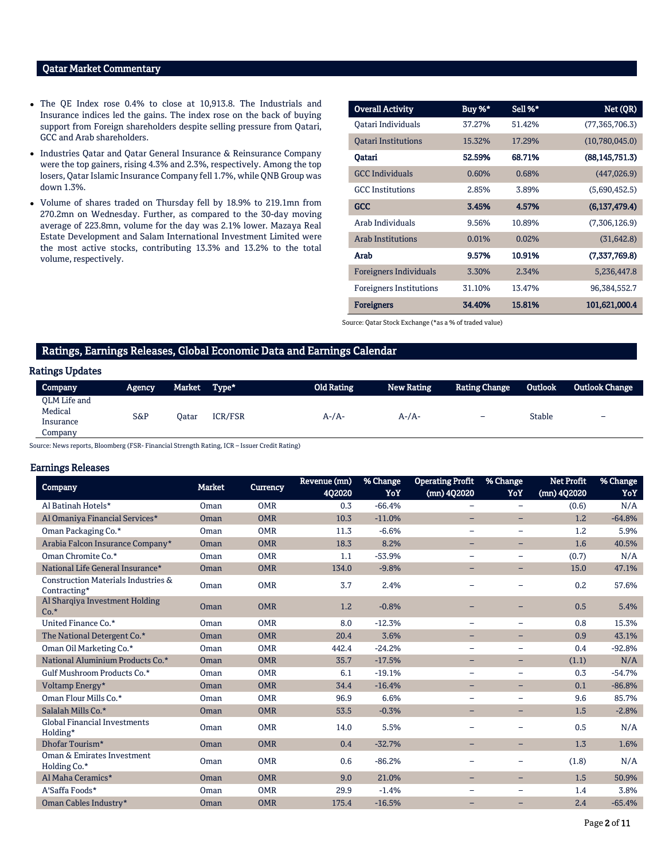### Qatar Market Commentary

- The QE Index rose 0.4% to close at 10,913.8. The Industrials and Insurance indices led the gains. The index rose on the back of buying support from Foreign shareholders despite selling pressure from Qatari, GCC and Arab shareholders.
- Industries Qatar and Qatar General Insurance & Reinsurance Company were the top gainers, rising 4.3% and 2.3%, respectively. Among the top losers, Qatar Islamic Insurance Company fell 1.7%, while QNB Group was down 1.3%.
- Volume of shares traded on Thursday fell by 18.9% to 219.1mn from 270.2mn on Wednesday. Further, as compared to the 30-day moving average of 223.8mn, volume for the day was 2.1% lower. Mazaya Real Estate Development and Salam International Investment Limited were the most active stocks, contributing 13.3% and 13.2% to the total volume, respectively.

| <b>Overall Activity</b>        | Buy %* | Sell %* | Net (QR)         |
|--------------------------------|--------|---------|------------------|
| Oatari Individuals             | 37.27% | 51.42%  | (77, 365, 706.3) |
| <b>Oatari Institutions</b>     | 15.32% | 17.29%  | (10,780,045.0)   |
| Oatari                         | 52.59% | 68.71%  | (88, 145, 751.3) |
| <b>GCC Individuals</b>         | 0.60%  | 0.68%   | (447, 026.9)     |
| <b>GCC</b> Institutions        | 2.85%  | 3.89%   | (5,690,452.5)    |
| <b>GCC</b>                     | 3.45%  | 4.57%   | (6,137,479.4)    |
| Arab Individuals               | 9.56%  | 10.89%  | (7,306,126.9)    |
| <b>Arab Institutions</b>       | 0.01%  | 0.02%   | (31, 642.8)      |
| Arab                           | 9.57%  | 10.91%  | (7,337,769.8)    |
| <b>Foreigners Individuals</b>  | 3.30%  | 2.34%   | 5,236,447.8      |
| <b>Foreigners Institutions</b> | 31.10% | 13.47%  | 96,384,552.7     |
| <b>Foreigners</b>              | 34.40% | 15.81%  | 101,621,000.4    |

Source: Qatar Stock Exchange (\*as a % of traded value)

## Ratings, Earnings Releases, Global Economic Data and Earnings Calendar

#### Ratings Updates

| Company                                         | <b>Agency</b> | Market | Type*          | <b>Old Rating</b> | <b>New Rating</b> | <b>Rating Change</b>     | Outlook       | Outlook Change |
|-------------------------------------------------|---------------|--------|----------------|-------------------|-------------------|--------------------------|---------------|----------------|
| OLM Life and<br>Medical<br>Insurance<br>Jompany | S&P           | Oatar  | <b>ICR/FSR</b> | $A-A$ -           | $A$ - $/A$ -      | $\overline{\phantom{0}}$ | <b>Stable</b> | -              |

Source: News reports, Bloomberg (FSR- Financial Strength Rating, ICR – Issuer Credit Rating)

#### Earnings Releases

| <b>Company</b>                                      | <b>Market</b> | <b>Currency</b> | Revenue (mn)<br><b>4Q2020</b> | % Change<br>YoY | <b>Operating Profit</b><br>(mn) 402020 | % Change<br>YoY          | <b>Net Profit</b><br>(mn) 4Q2020 | % Change<br>YoY |
|-----------------------------------------------------|---------------|-----------------|-------------------------------|-----------------|----------------------------------------|--------------------------|----------------------------------|-----------------|
| Al Batinah Hotels*                                  | Oman          | <b>OMR</b>      | 0.3                           | $-66.4%$        | $\qquad \qquad =$                      | $\equiv$                 | (0.6)                            | N/A             |
| Al Omaniya Financial Services*                      | Oman          | <b>OMR</b>      | 10.3                          | $-11.0%$        | $\qquad \qquad -$                      | -                        | 1.2                              | $-64.8%$        |
| Oman Packaging Co.*                                 | Oman          | <b>OMR</b>      | 11.3                          | $-6.6%$         | $\qquad \qquad -$                      | -                        | 1.2                              | 5.9%            |
| Arabia Falcon Insurance Company*                    | Oman          | <b>OMR</b>      | 18.3                          | 8.2%            | -                                      | -                        | 1.6                              | 40.5%           |
| Oman Chromite Co.*                                  | Oman          | <b>OMR</b>      | 1.1                           | $-53.9%$        |                                        |                          | (0.7)                            | N/A             |
| National Life General Insurance*                    | Oman          | <b>OMR</b>      | 134.0                         | $-9.8%$         | -                                      | -                        | 15.0                             | 47.1%           |
| Construction Materials Industries &<br>Contracting* | Oman          | <b>OMR</b>      | 3.7                           | 2.4%            |                                        |                          | 0.2                              | 57.6%           |
| Al Sharqiya Investment Holding<br>$Co.*$            | Oman          | <b>OMR</b>      | 1.2                           | $-0.8%$         |                                        |                          | 0.5                              | 5.4%            |
| United Finance Co.*                                 | Oman          | <b>OMR</b>      | 8.0                           | $-12.3%$        | $\qquad \qquad -$                      | $\overline{\phantom{0}}$ | 0.8                              | 15.3%           |
| The National Detergent Co.*                         | Oman          | <b>OMR</b>      | 20.4                          | 3.6%            | $\overline{\phantom{0}}$               | Ξ.                       | 0.9                              | 43.1%           |
| Oman Oil Marketing Co.*                             | Oman          | <b>OMR</b>      | 442.4                         | $-24.2%$        | $\qquad \qquad -$                      | -                        | 0.4                              | $-92.8%$        |
| National Aluminium Products Co.*                    | Oman          | <b>OMR</b>      | 35.7                          | $-17.5%$        | $\qquad \qquad -$                      | -                        | (1.1)                            | N/A             |
| Gulf Mushroom Products Co.*                         | Oman          | <b>OMR</b>      | 6.1                           | $-19.1%$        |                                        |                          | 0.3                              | $-54.7%$        |
| Voltamp Energy*                                     | Oman          | <b>OMR</b>      | 34.4                          | $-16.4%$        | -                                      | Ξ.                       | 0.1                              | $-86.8%$        |
| Oman Flour Mills Co.*                               | Oman          | <b>OMR</b>      | 96.9                          | 6.6%            | $\qquad \qquad =$                      |                          | 9.6                              | 85.7%           |
| Salalah Mills Co.*                                  | Oman          | <b>OMR</b>      | 53.5                          | $-0.3%$         | $-$                                    | -                        | 1.5                              | $-2.8%$         |
| <b>Global Financial Investments</b><br>Holding*     | Oman          | <b>OMR</b>      | 14.0                          | 5.5%            |                                        |                          | 0.5                              | N/A             |
| Dhofar Tourism*                                     | Oman          | <b>OMR</b>      | 0.4                           | $-32.7%$        | -                                      | -                        | 1.3                              | 1.6%            |
| Oman & Emirates Investment<br>Holding Co.*          | Oman          | <b>OMR</b>      | 0.6                           | $-86.2%$        |                                        |                          | (1.8)                            | N/A             |
| Al Maha Ceramics*                                   | Oman          | <b>OMR</b>      | 9.0                           | 21.0%           | -                                      | -                        | 1.5                              | 50.9%           |
| A'Saffa Foods*                                      | Oman          | <b>OMR</b>      | 29.9                          | $-1.4%$         | $\overline{\phantom{m}}$               | $\overline{\phantom{0}}$ | 1.4                              | 3.8%            |
| Oman Cables Industry*                               | Oman          | <b>OMR</b>      | 175.4                         | $-16.5%$        |                                        | -                        | 2.4                              | $-65.4%$        |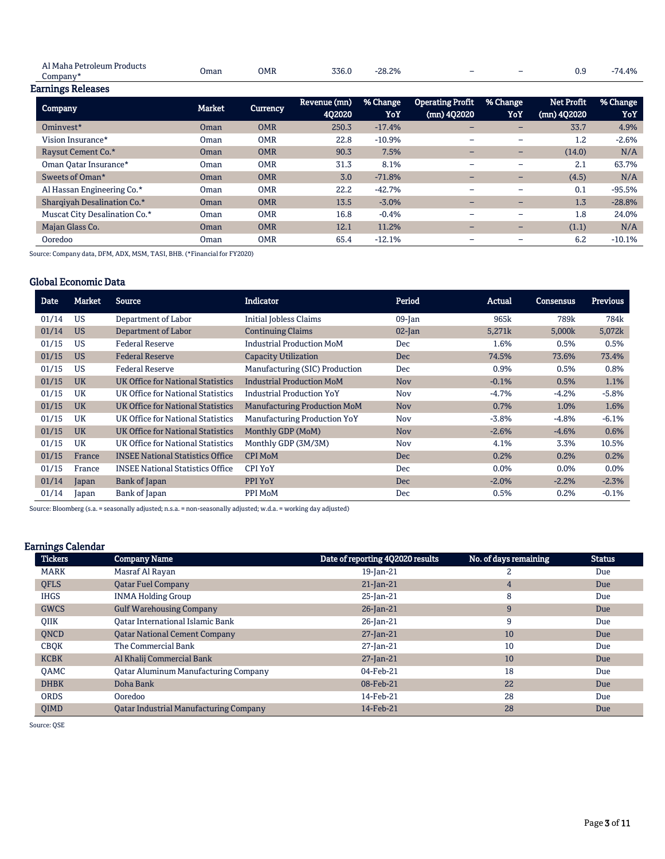| teum<br>Product:<br>. Dotr $\epsilon$<br>$H_{\rm H}$<br>$\overline{a}$ |      | OMR | 770   | $-28.2%$ |   | - |     | $4.4\%$ |
|------------------------------------------------------------------------|------|-----|-------|----------|---|---|-----|---------|
| Jompany                                                                | Jman |     | UJU.U |          | - |   | v.u |         |

| <b>Earnings Releases</b> |  |
|--------------------------|--|
|                          |  |

| <b>Company</b>                | <b>Market</b> | <b>Currency</b> | Revenue (mn)<br><b>402020</b> | % Change<br>YoY | <b>Operating Profit</b><br>(mn) 4Q2020 | % Change<br>YoY          | Net Profit<br>(mn) 4Q2020 | % Change<br>YoY |
|-------------------------------|---------------|-----------------|-------------------------------|-----------------|----------------------------------------|--------------------------|---------------------------|-----------------|
| Ominyest*                     | Oman          | <b>OMR</b>      | 250.3                         | $-17.4%$        | $\overline{\phantom{0}}$               | $\overline{\phantom{0}}$ | 33.7                      | 4.9%            |
| Vision Insurance*             | Oman          | <b>OMR</b>      | 22.8                          | $-10.9%$        | $\overline{\phantom{a}}$               | $\overline{\phantom{m}}$ | 1.2                       | $-2.6%$         |
| Raysut Cement Co.*            | Oman          | <b>OMR</b>      | 90.3                          | 7.5%            | $\overline{\phantom{0}}$               | $\overline{\phantom{0}}$ | (14.0)                    | N/A             |
| Oman Qatar Insurance*         | Oman          | <b>OMR</b>      | 31.3                          | 8.1%            | $\overline{\phantom{0}}$               | $\overline{\phantom{m}}$ | 2.1                       | 63.7%           |
| Sweets of Oman*               | Oman          | <b>OMR</b>      | 3.0                           | $-71.8%$        | $\overline{\phantom{0}}$               | $\overline{\phantom{0}}$ | (4.5)                     | N/A             |
| Al Hassan Engineering Co.*    | Oman          | <b>OMR</b>      | 22.2                          | $-42.7%$        |                                        | $\overline{\phantom{m}}$ | 0.1                       | $-95.5%$        |
| Sharqiyah Desalination Co.*   | Oman          | <b>OMR</b>      | 13.5                          | $-3.0%$         | $\overline{\phantom{0}}$               | $\overline{\phantom{0}}$ | 1.3                       | $-28.8%$        |
| Muscat City Desalination Co.* | Oman          | <b>OMR</b>      | 16.8                          | $-0.4%$         | $\overline{\phantom{0}}$               | $\overline{\phantom{0}}$ | 1.8                       | 24.0%           |
| Majan Glass Co.               | Oman          | <b>OMR</b>      | 12.1                          | 11.2%           | $\overline{\phantom{0}}$               | $-$                      | (1.1)                     | N/A             |
| Ooredoo                       | <b>Oman</b>   | <b>OMR</b>      | 65.4                          | $-12.1%$        |                                        | -                        | 6.2                       | $-10.1%$        |

Source: Company data, DFM, ADX, MSM, TASI, BHB. (\*Financial for FY2020)

# Global Economic Data

| <b>Date</b> | Market    | <b>Source</b>                           | Indicator                           | Period     | Actual  | Consensus | <b>Previous</b> |
|-------------|-----------|-----------------------------------------|-------------------------------------|------------|---------|-----------|-----------------|
| 01/14       | <b>US</b> | Department of Labor                     | Initial Jobless Claims              | $09$ -Jan  | 965k    | 789k      | 784k            |
| 01/14       | <b>US</b> | Department of Labor                     | <b>Continuing Claims</b>            | $02$ -Jan  | 5,271k  | 5,000k    | 5,072k          |
| 01/15       | <b>US</b> | <b>Federal Reserve</b>                  | <b>Industrial Production MoM</b>    | <b>Dec</b> | 1.6%    | 0.5%      | 0.5%            |
| 01/15       | <b>US</b> | <b>Federal Reserve</b>                  | <b>Capacity Utilization</b>         | <b>Dec</b> | 74.5%   | 73.6%     | 73.4%           |
| 01/15       | <b>US</b> | <b>Federal Reserve</b>                  | Manufacturing (SIC) Production      | <b>Dec</b> | 0.9%    | 0.5%      | 0.8%            |
| 01/15       | <b>UK</b> | UK Office for National Statistics       | <b>Industrial Production MoM</b>    | <b>Nov</b> | $-0.1%$ | 0.5%      | 1.1%            |
| 01/15       | UK        | UK Office for National Statistics       | <b>Industrial Production YoY</b>    | Nov        | $-4.7%$ | $-4.2%$   | $-5.8%$         |
| 01/15       | <b>UK</b> | UK Office for National Statistics       | <b>Manufacturing Production MoM</b> | <b>Nov</b> | 0.7%    | 1.0%      | 1.6%            |
| 01/15       | UK        | UK Office for National Statistics       | <b>Manufacturing Production YoY</b> | Nov        | $-3.8%$ | $-4.8%$   | $-6.1%$         |
| 01/15       | <b>UK</b> | UK Office for National Statistics       | Monthly GDP (MoM)                   | <b>Nov</b> | $-2.6%$ | $-4.6%$   | 0.6%            |
| 01/15       | UK        | UK Office for National Statistics       | Monthly GDP (3M/3M)                 | Nov        | 4.1%    | 3.3%      | 10.5%           |
| 01/15       | France    | <b>INSEE National Statistics Office</b> | <b>CPI MoM</b>                      | <b>Dec</b> | 0.2%    | 0.2%      | 0.2%            |
| 01/15       | France    | <b>INSEE National Statistics Office</b> | CPI YoY                             | <b>Dec</b> | 0.0%    | $0.0\%$   | 0.0%            |
| 01/14       | Japan     | Bank of Japan                           | PPI YoY                             | Dec        | $-2.0%$ | $-2.2%$   | $-2.3%$         |
| 01/14       | Japan     | Bank of Japan                           | PPI MoM                             | <b>Dec</b> | 0.5%    | 0.2%      | $-0.1%$         |

Source: Bloomberg (s.a. = seasonally adjusted; n.s.a. = non-seasonally adjusted; w.d.a. = working day adjusted)

# Earnings Calendar

| ີ<br><b>Tickers</b> | <b>Company Name</b>                           | Date of reporting 4Q2020 results | No. of days remaining | <b>Status</b> |
|---------------------|-----------------------------------------------|----------------------------------|-----------------------|---------------|
| <b>MARK</b>         | Masraf Al Rayan                               | 19-Jan-21                        | 2                     | Due           |
| <b>QFLS</b>         | <b>Oatar Fuel Company</b>                     | $21$ -Jan-21                     | 4                     | Due           |
| <b>IHGS</b>         | <b>INMA Holding Group</b>                     | 25-Jan-21                        | 8                     | Due           |
| <b>GWCS</b>         | <b>Gulf Warehousing Company</b>               | $26$ -Jan-21                     | 9                     | Due           |
| <b>OIIK</b>         | <b>Qatar International Islamic Bank</b>       | 26-Jan-21                        | 9                     | Due           |
| <b>ONCD</b>         | <b>Oatar National Cement Company</b>          | $27$ -Jan-21                     | 10                    | Due           |
| <b>CBQK</b>         | The Commercial Bank                           | $27$ -Jan-21                     | 10                    | Due           |
| <b>KCBK</b>         | Al Khalij Commercial Bank                     | $27$ -Jan-21                     | 10                    | Due           |
| <b>OAMC</b>         | <b>Qatar Aluminum Manufacturing Company</b>   | 04-Feb-21                        | 18                    | Due           |
| <b>DHBK</b>         | Doha Bank                                     | 08-Feb-21                        | 22                    | Due           |
| <b>ORDS</b>         | Ooredoo                                       | 14-Feb-21                        | 28                    | Due           |
| <b>OIMD</b>         | <b>Qatar Industrial Manufacturing Company</b> | 14-Feb-21                        | 28                    | Due           |

Source: QSE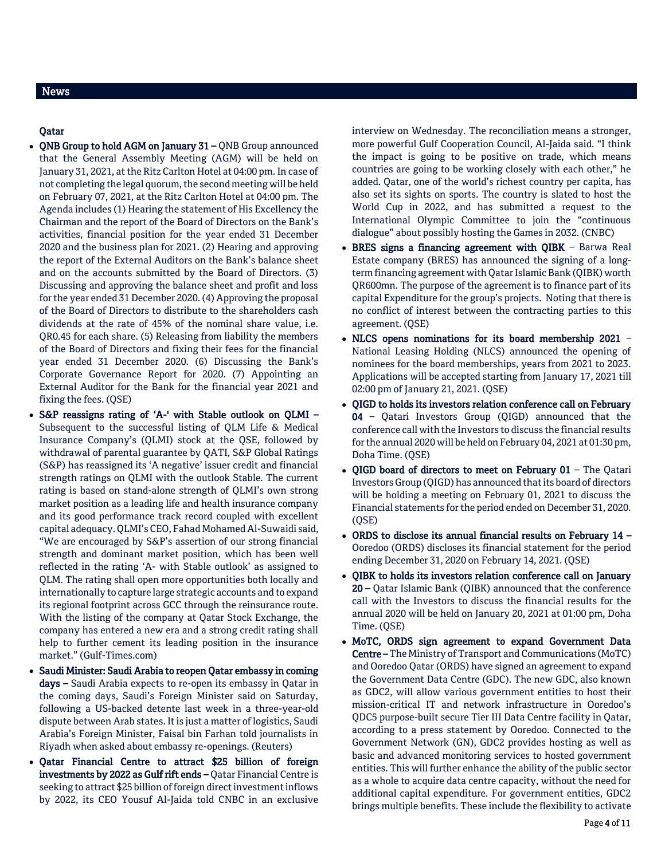# News

## Qatar

- QNB Group to hold AGM on January 31 QNB Group announced that the General Assembly Meeting (AGM) will be held on January 31, 2021, at the Ritz Carlton Hotel at 04:00 pm. In case of not completing the legal quorum, the second meeting will be held on February 07, 2021, at the Ritz Carlton Hotel at 04:00 pm. The Agenda includes (1) Hearing the statement of His Excellency the Chairman and the report of the Board of Directors on the Bank's activities, financial position for the year ended 31 December 2020 and the business plan for 2021. (2) Hearing and approving the report of the External Auditors on the Bank's balance sheet and on the accounts submitted by the Board of Directors. (3) Discussing and approving the balance sheet and profit and loss for the year ended 31 December 2020. (4) Approving the proposal of the Board of Directors to distribute to the shareholders cash dividends at the rate of 45% of the nominal share value, i.e. QR0.45 for each share. (5) Releasing from liability the members of the Board of Directors and fixing their fees for the financial year ended 31 December 2020. (6) Discussing the Bank's Corporate Governance Report for 2020. (7) Appointing an External Auditor for the Bank for the financial year 2021 and fixing the fees. (QSE)
- S&P reassigns rating of 'A-' with Stable outlook on QLMI Subsequent to the successful listing of QLM Life & Medical Insurance Company's (QLMI) stock at the QSE, followed by withdrawal of parental guarantee by QATI, S&P Global Ratings (S&P) has reassigned its 'A negative' issuer credit and financial strength ratings on QLMI with the outlook Stable. The current rating is based on stand-alone strength of QLMI's own strong market position as a leading life and health insurance company and its good performance track record coupled with excellent capital adequacy. QLMI's CEO, Fahad Mohamed Al-Suwaidi said, "We are encouraged by S&P's assertion of our strong financial strength and dominant market position, which has been well reflected in the rating 'A- with Stable outlook' as assigned to QLM. The rating shall open more opportunities both locally and internationally to capture large strategic accounts and to expand its regional footprint across GCC through the reinsurance route. With the listing of the company at Qatar Stock Exchange, the company has entered a new era and a strong credit rating shall help to further cement its leading position in the insurance market." (Gulf-Times.com)
- Saudi Minister: Saudi Arabia to reopen Qatar embassy in coming days – Saudi Arabia expects to re-open its embassy in Qatar in the coming days, Saudi's Foreign Minister said on Saturday, following a US-backed detente last week in a three-year-old dispute between Arab states. It is just a matter of logistics, Saudi Arabia's Foreign Minister, Faisal bin Farhan told journalists in Riyadh when asked about embassy re-openings. (Reuters)
- Qatar Financial Centre to attract \$25 billion of foreign investments by 2022 as Gulf rift ends – Qatar Financial Centre is seeking to attract \$25 billion of foreign direct investment inflows by 2022, its CEO Yousuf Al-Jaida told CNBC in an exclusive

interview on Wednesday. The reconciliation means a stronger, more powerful Gulf Cooperation Council, Al-Jaida said. "I think the impact is going to be positive on trade, which means countries are going to be working closely with each other," he added. Qatar, one of the world's richest country per capita, has also set its sights on sports. The country is slated to host the World Cup in 2022, and has submitted a request to the International Olympic Committee to join the "continuous dialogue" about possibly hosting the Games in 2032. (CNBC)

- BRES signs a financing agreement with QIBK Barwa Real Estate company (BRES) has announced the signing of a longterm financing agreement with Qatar Islamic Bank (QIBK) worth QR600mn. The purpose of the agreement is to finance part of its capital Expenditure for the group's projects. Noting that there is no conflict of interest between the contracting parties to this agreement. (QSE)
- NLCS opens nominations for its board membership 2021 National Leasing Holding (NLCS) announced the opening of nominees for the board memberships, years from 2021 to 2023. Applications will be accepted starting from January 17, 2021 till 02:00 pm of January 21, 2021. (QSE)
- OIGD to holds its investors relation conference call on February 04 – Qatari Investors Group (QIGD) announced that the conference call with the Investors to discuss the financial results for the annual 2020 will be held on February 04, 2021 at 01:30 pm, Doha Time. (QSE)
- QIGD board of directors to meet on February  $01$  The Qatari Investors Group (QIGD) has announced that its board of directors will be holding a meeting on February 01, 2021 to discuss the Financial statements for the period ended on December 31, 2020. (QSE)
- ORDS to disclose its annual financial results on February 14 Ooredoo (ORDS) discloses its financial statement for the period ending December 31, 2020 on February 14, 2021. (QSE)
- QIBK to holds its investors relation conference call on January 20 – Qatar Islamic Bank (QIBK) announced that the conference call with the Investors to discuss the financial results for the annual 2020 will be held on January 20, 2021 at 01:00 pm, Doha Time. (QSE)
- MoTC, ORDS sign agreement to expand Government Data Centre – The Ministry of Transport and Communications (MoTC) and Ooredoo Qatar (ORDS) have signed an agreement to expand the Government Data Centre (GDC). The new GDC, also known as GDC2, will allow various government entities to host their mission-critical IT and network infrastructure in Ooredoo's QDC5 purpose-built secure Tier III Data Centre facility in Qatar, according to a press statement by Ooredoo. Connected to the Government Network (GN), GDC2 provides hosting as well as basic and advanced monitoring services to hosted government entities. This will further enhance the ability of the public sector as a whole to acquire data centre capacity, without the need for additional capital expenditure. For government entities, GDC2 brings multiple benefits. These include the flexibility to activate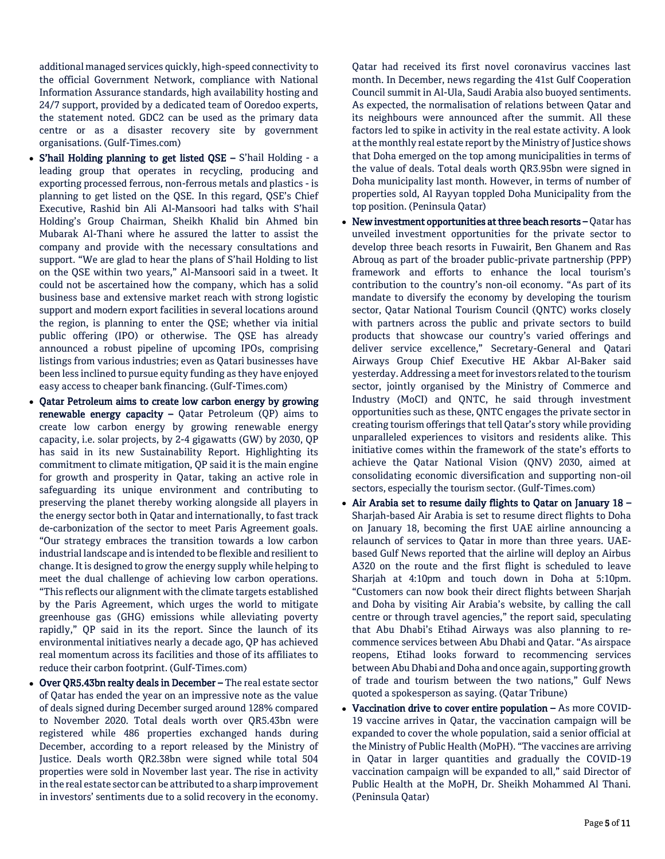additional managed services quickly, high-speed connectivity to the official Government Network, compliance with National Information Assurance standards, high availability hosting and 24/7 support, provided by a dedicated team of Ooredoo experts, the statement noted. GDC2 can be used as the primary data centre or as a disaster recovery site by government organisations. (Gulf-Times.com)

- S'hail Holding planning to get listed QSE S'hail Holding a leading group that operates in recycling, producing and exporting processed ferrous, non-ferrous metals and plastics - is planning to get listed on the QSE. In this regard, QSE's Chief Executive, Rashid bin Ali Al-Mansoori had talks with S'hail Holding's Group Chairman, Sheikh Khalid bin Ahmed bin Mubarak Al-Thani where he assured the latter to assist the company and provide with the necessary consultations and support. "We are glad to hear the plans of S'hail Holding to list on the QSE within two years," Al-Mansoori said in a tweet. It could not be ascertained how the company, which has a solid business base and extensive market reach with strong logistic support and modern export facilities in several locations around the region, is planning to enter the QSE; whether via initial public offering (IPO) or otherwise. The QSE has already announced a robust pipeline of upcoming IPOs, comprising listings from various industries; even as Qatari businesses have been less inclined to pursue equity funding as they have enjoyed easy access to cheaper bank financing. (Gulf-Times.com)
- Qatar Petroleum aims to create low carbon energy by growing renewable energy capacity  $-$  Qatar Petroleum (QP) aims to create low carbon energy by growing renewable energy capacity, i.e. solar projects, by 2-4 gigawatts (GW) by 2030, QP has said in its new Sustainability Report. Highlighting its commitment to climate mitigation, QP said it is the main engine for growth and prosperity in Qatar, taking an active role in safeguarding its unique environment and contributing to preserving the planet thereby working alongside all players in the energy sector both in Qatar and internationally, to fast track de-carbonization of the sector to meet Paris Agreement goals. "Our strategy embraces the transition towards a low carbon industrial landscape and is intended to be flexible and resilient to change. It is designed to grow the energy supply while helping to meet the dual challenge of achieving low carbon operations. "This reflects our alignment with the climate targets established by the Paris Agreement, which urges the world to mitigate greenhouse gas (GHG) emissions while alleviating poverty rapidly," QP said in its the report. Since the launch of its environmental initiatives nearly a decade ago, QP has achieved real momentum across its facilities and those of its affiliates to reduce their carbon footprint. (Gulf-Times.com)
- Over QR5.43bn realty deals in December The real estate sector of Qatar has ended the year on an impressive note as the value of deals signed during December surged around 128% compared to November 2020. Total deals worth over QR5.43bn were registered while 486 properties exchanged hands during December, according to a report released by the Ministry of Justice. Deals worth QR2.38bn were signed while total 504 properties were sold in November last year. The rise in activity in the real estate sector can be attributed to a sharp improvement in investors' sentiments due to a solid recovery in the economy.

Qatar had received its first novel coronavirus vaccines last month. In December, news regarding the 41st Gulf Cooperation Council summit in Al-Ula, Saudi Arabia also buoyed sentiments. As expected, the normalisation of relations between Qatar and its neighbours were announced after the summit. All these factors led to spike in activity in the real estate activity. A look at the monthly real estate report by the Ministry of Justice shows that Doha emerged on the top among municipalities in terms of the value of deals. Total deals worth QR3.95bn were signed in Doha municipality last month. However, in terms of number of properties sold, Al Rayyan toppled Doha Municipality from the top position. (Peninsula Qatar)

- New investment opportunities at three beach resorts Qatar has unveiled investment opportunities for the private sector to develop three beach resorts in Fuwairit, Ben Ghanem and Ras Abrouq as part of the broader public-private partnership (PPP) framework and efforts to enhance the local tourism's contribution to the country's non-oil economy. "As part of its mandate to diversify the economy by developing the tourism sector, Qatar National Tourism Council (QNTC) works closely with partners across the public and private sectors to build products that showcase our country's varied offerings and deliver service excellence," Secretary-General and Qatari Airways Group Chief Executive HE Akbar Al-Baker said yesterday. Addressing a meet for investors related to the tourism sector, jointly organised by the Ministry of Commerce and Industry (MoCI) and QNTC, he said through investment opportunities such as these, QNTC engages the private sector in creating tourism offerings that tell Qatar's story while providing unparalleled experiences to visitors and residents alike. This initiative comes within the framework of the state's efforts to achieve the Qatar National Vision (QNV) 2030, aimed at consolidating economic diversification and supporting non-oil sectors, especially the tourism sector. (Gulf-Times.com)
- Air Arabia set to resume daily flights to Qatar on January  $18 -$ Sharjah-based Air Arabia is set to resume direct flights to Doha on January 18, becoming the first UAE airline announcing a relaunch of services to Qatar in more than three years. UAEbased Gulf News reported that the airline will deploy an Airbus A320 on the route and the first flight is scheduled to leave Sharjah at 4:10pm and touch down in Doha at 5:10pm. "Customers can now book their direct flights between Sharjah and Doha by visiting Air Arabia's website, by calling the call centre or through travel agencies," the report said, speculating that Abu Dhabi's Etihad Airways was also planning to recommence services between Abu Dhabi and Qatar. "As airspace reopens, Etihad looks forward to recommencing services between Abu Dhabi and Doha and once again, supporting growth of trade and tourism between the two nations," Gulf News quoted a spokesperson as saying. (Qatar Tribune)
- Vaccination drive to cover entire population As more COVID-19 vaccine arrives in Qatar, the vaccination campaign will be expanded to cover the whole population, said a senior official at the Ministry of Public Health (MoPH). "The vaccines are arriving in Qatar in larger quantities and gradually the COVID-19 vaccination campaign will be expanded to all," said Director of Public Health at the MoPH, Dr. Sheikh Mohammed Al Thani. (Peninsula Qatar)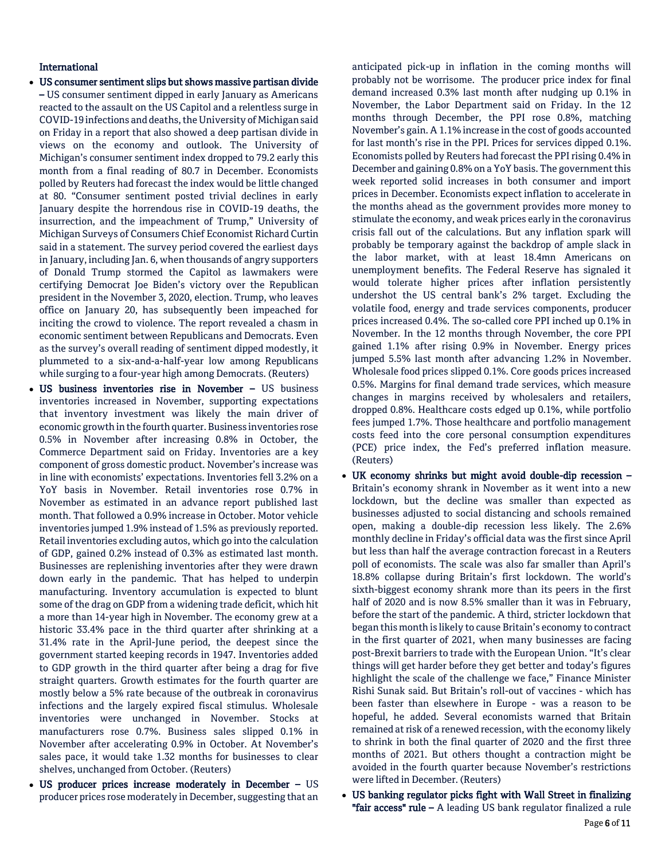## International

- US consumer sentiment slips but shows massive partisan divide – US consumer sentiment dipped in early January as Americans reacted to the assault on the US Capitol and a relentless surge in COVID-19 infections and deaths, the University of Michigan said on Friday in a report that also showed a deep partisan divide in views on the economy and outlook. The University of Michigan's consumer sentiment index dropped to 79.2 early this month from a final reading of 80.7 in December. Economists polled by Reuters had forecast the index would be little changed at 80. "Consumer sentiment posted trivial declines in early January despite the horrendous rise in COVID-19 deaths, the insurrection, and the impeachment of Trump," University of Michigan Surveys of Consumers Chief Economist Richard Curtin said in a statement. The survey period covered the earliest days in January, including Jan. 6, when thousands of angry supporters of Donald Trump stormed the Capitol as lawmakers were certifying Democrat Joe Biden's victory over the Republican president in the November 3, 2020, election. Trump, who leaves office on January 20, has subsequently been impeached for inciting the crowd to violence. The report revealed a chasm in economic sentiment between Republicans and Democrats. Even as the survey's overall reading of sentiment dipped modestly, it plummeted to a six-and-a-half-year low among Republicans while surging to a four-year high among Democrats. (Reuters)
- US business inventories rise in November US business inventories increased in November, supporting expectations that inventory investment was likely the main driver of economic growth in the fourth quarter. Business inventories rose 0.5% in November after increasing 0.8% in October, the Commerce Department said on Friday. Inventories are a key component of gross domestic product. November's increase was in line with economists' expectations. Inventories fell 3.2% on a YoY basis in November. Retail inventories rose 0.7% in November as estimated in an advance report published last month. That followed a 0.9% increase in October. Motor vehicle inventories jumped 1.9% instead of 1.5% as previously reported. Retail inventories excluding autos, which go into the calculation of GDP, gained 0.2% instead of 0.3% as estimated last month. Businesses are replenishing inventories after they were drawn down early in the pandemic. That has helped to underpin manufacturing. Inventory accumulation is expected to blunt some of the drag on GDP from a widening trade deficit, which hit a more than 14-year high in November. The economy grew at a historic 33.4% pace in the third quarter after shrinking at a 31.4% rate in the April-June period, the deepest since the government started keeping records in 1947. Inventories added to GDP growth in the third quarter after being a drag for five straight quarters. Growth estimates for the fourth quarter are mostly below a 5% rate because of the outbreak in coronavirus infections and the largely expired fiscal stimulus. Wholesale inventories were unchanged in November. Stocks at manufacturers rose 0.7%. Business sales slipped 0.1% in November after accelerating 0.9% in October. At November's sales pace, it would take 1.32 months for businesses to clear shelves, unchanged from October. (Reuters)
- US producer prices increase moderately in December US producer prices rose moderately in December, suggesting that an

anticipated pick-up in inflation in the coming months will probably not be worrisome. The producer price index for final demand increased 0.3% last month after nudging up 0.1% in November, the Labor Department said on Friday. In the 12 months through December, the PPI rose 0.8%, matching November's gain. A 1.1% increase in the cost of goods accounted for last month's rise in the PPI. Prices for services dipped 0.1%. Economists polled by Reuters had forecast the PPI rising 0.4% in December and gaining 0.8% on a YoY basis. The government this week reported solid increases in both consumer and import prices in December. Economists expect inflation to accelerate in the months ahead as the government provides more money to stimulate the economy, and weak prices early in the coronavirus crisis fall out of the calculations. But any inflation spark will probably be temporary against the backdrop of ample slack in the labor market, with at least 18.4mn Americans on unemployment benefits. The Federal Reserve has signaled it would tolerate higher prices after inflation persistently undershot the US central bank's 2% target. Excluding the volatile food, energy and trade services components, producer prices increased 0.4%. The so-called core PPI inched up 0.1% in November. In the 12 months through November, the core PPI gained 1.1% after rising 0.9% in November. Energy prices jumped 5.5% last month after advancing 1.2% in November. Wholesale food prices slipped 0.1%. Core goods prices increased 0.5%. Margins for final demand trade services, which measure changes in margins received by wholesalers and retailers, dropped 0.8%. Healthcare costs edged up 0.1%, while portfolio fees jumped 1.7%. Those healthcare and portfolio management costs feed into the core personal consumption expenditures (PCE) price index, the Fed's preferred inflation measure. (Reuters)

- UK economy shrinks but might avoid double-dip recession Britain's economy shrank in November as it went into a new lockdown, but the decline was smaller than expected as businesses adjusted to social distancing and schools remained open, making a double-dip recession less likely. The 2.6% monthly decline in Friday's official data was the first since April but less than half the average contraction forecast in a Reuters poll of economists. The scale was also far smaller than April's 18.8% collapse during Britain's first lockdown. The world's sixth-biggest economy shrank more than its peers in the first half of 2020 and is now 8.5% smaller than it was in February, before the start of the pandemic. A third, stricter lockdown that began this month is likely to cause Britain's economy to contract in the first quarter of 2021, when many businesses are facing post-Brexit barriers to trade with the European Union. "It's clear things will get harder before they get better and today's figures highlight the scale of the challenge we face," Finance Minister Rishi Sunak said. But Britain's roll-out of vaccines - which has been faster than elsewhere in Europe - was a reason to be hopeful, he added. Several economists warned that Britain remained at risk of a renewed recession, with the economy likely to shrink in both the final quarter of 2020 and the first three months of 2021. But others thought a contraction might be avoided in the fourth quarter because November's restrictions were lifted in December. (Reuters)
- US banking regulator picks fight with Wall Street in finalizing "fair  $access$ " rule – A leading US bank regulator finalized a rule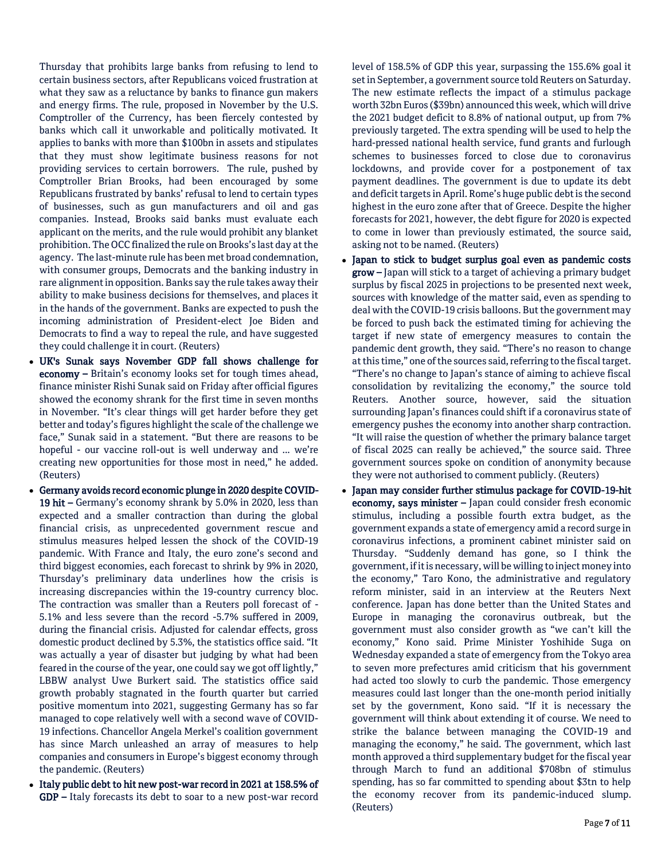Thursday that prohibits large banks from refusing to lend to certain business sectors, after Republicans voiced frustration at what they saw as a reluctance by banks to finance gun makers and energy firms. The rule, proposed in November by the U.S. Comptroller of the Currency, has been fiercely contested by banks which call it unworkable and politically motivated. It applies to banks with more than \$100bn in assets and stipulates that they must show legitimate business reasons for not providing services to certain borrowers. The rule, pushed by Comptroller Brian Brooks, had been encouraged by some Republicans frustrated by banks' refusal to lend to certain types of businesses, such as gun manufacturers and oil and gas companies. Instead, Brooks said banks must evaluate each applicant on the merits, and the rule would prohibit any blanket prohibition. The OCC finalized the rule on Brooks's last day at the agency. The last-minute rule has been met broad condemnation, with consumer groups, Democrats and the banking industry in rare alignment in opposition. Banks say the rule takes away their ability to make business decisions for themselves, and places it in the hands of the government. Banks are expected to push the incoming administration of President-elect Joe Biden and Democrats to find a way to repeal the rule, and have suggested they could challenge it in court. (Reuters)

- UK's Sunak says November GDP fall shows challenge for economy – Britain's economy looks set for tough times ahead, finance minister Rishi Sunak said on Friday after official figures showed the economy shrank for the first time in seven months in November. "It's clear things will get harder before they get better and today's figures highlight the scale of the challenge we face," Sunak said in a statement. "But there are reasons to be hopeful - our vaccine roll-out is well underway and ... we're creating new opportunities for those most in need," he added. (Reuters)
- Germany avoids record economic plunge in 2020 despite COVID-19 hit – Germany's economy shrank by 5.0% in 2020, less than expected and a smaller contraction than during the global financial crisis, as unprecedented government rescue and stimulus measures helped lessen the shock of the COVID-19 pandemic. With France and Italy, the euro zone's second and third biggest economies, each forecast to shrink by 9% in 2020, Thursday's preliminary data underlines how the crisis is increasing discrepancies within the 19-country currency bloc. The contraction was smaller than a Reuters poll forecast of - 5.1% and less severe than the record -5.7% suffered in 2009, during the financial crisis. Adjusted for calendar effects, gross domestic product declined by 5.3%, the statistics office said. "It was actually a year of disaster but judging by what had been feared in the course of the year, one could say we got off lightly," LBBW analyst Uwe Burkert said. The statistics office said growth probably stagnated in the fourth quarter but carried positive momentum into 2021, suggesting Germany has so far managed to cope relatively well with a second wave of COVID-19 infections. Chancellor Angela Merkel's coalition government has since March unleashed an array of measures to help companies and consumers in Europe's biggest economy through the pandemic. (Reuters)
- Italy public debt to hit new post-war record in 2021 at 158.5% of GDP – Italy forecasts its debt to soar to a new post-war record

level of 158.5% of GDP this year, surpassing the 155.6% goal it set in September, a government source told Reuters on Saturday. The new estimate reflects the impact of a stimulus package worth 32bn Euros (\$39bn) announced this week, which will drive the 2021 budget deficit to 8.8% of national output, up from 7% previously targeted. The extra spending will be used to help the hard-pressed national health service, fund grants and furlough schemes to businesses forced to close due to coronavirus lockdowns, and provide cover for a postponement of tax payment deadlines. The government is due to update its debt and deficit targets in April. Rome's huge public debt is the second highest in the euro zone after that of Greece. Despite the higher forecasts for 2021, however, the debt figure for 2020 is expected to come in lower than previously estimated, the source said, asking not to be named. (Reuters)

- Japan to stick to budget surplus goal even as pandemic costs grow – Japan will stick to a target of achieving a primary budget surplus by fiscal 2025 in projections to be presented next week, sources with knowledge of the matter said, even as spending to deal with the COVID-19 crisis balloons. But the government may be forced to push back the estimated timing for achieving the target if new state of emergency measures to contain the pandemic dent growth, they said. "There's no reason to change at this time," one of the sources said, referring to the fiscal target. "There's no change to Japan's stance of aiming to achieve fiscal consolidation by revitalizing the economy," the source told Reuters. Another source, however, said the situation surrounding Japan's finances could shift if a coronavirus state of emergency pushes the economy into another sharp contraction. "It will raise the question of whether the primary balance target of fiscal 2025 can really be achieved," the source said. Three government sources spoke on condition of anonymity because they were not authorised to comment publicly. (Reuters)
- Japan may consider further stimulus package for COVID-19-hit economy, says minister – Japan could consider fresh economic stimulus, including a possible fourth extra budget, as the government expands a state of emergency amid a record surge in coronavirus infections, a prominent cabinet minister said on Thursday. "Suddenly demand has gone, so I think the government, if it is necessary, will be willing to inject money into the economy," Taro Kono, the administrative and regulatory reform minister, said in an interview at the Reuters Next conference. Japan has done better than the United States and Europe in managing the coronavirus outbreak, but the government must also consider growth as "we can't kill the economy," Kono said. Prime Minister Yoshihide Suga on Wednesday expanded a state of emergency from the Tokyo area to seven more prefectures amid criticism that his government had acted too slowly to curb the pandemic. Those emergency measures could last longer than the one-month period initially set by the government, Kono said. "If it is necessary the government will think about extending it of course. We need to strike the balance between managing the COVID-19 and managing the economy," he said. The government, which last month approved a third supplementary budget for the fiscal year through March to fund an additional \$708bn of stimulus spending, has so far committed to spending about \$3tn to help the economy recover from its pandemic-induced slump. (Reuters)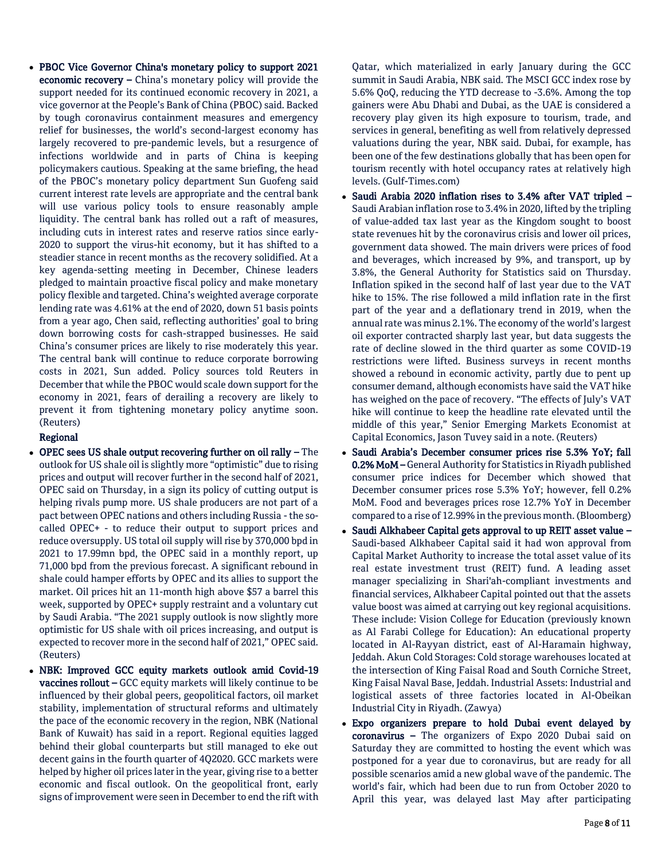PBOC Vice Governor China's monetary policy to support 2021 economic recovery – China's monetary policy will provide the support needed for its continued economic recovery in 2021, a vice governor at the People's Bank of China (PBOC) said. Backed by tough coronavirus containment measures and emergency relief for businesses, the world's second-largest economy has largely recovered to pre-pandemic levels, but a resurgence of infections worldwide and in parts of China is keeping policymakers cautious. Speaking at the same briefing, the head of the PBOC's monetary policy department Sun Guofeng said current interest rate levels are appropriate and the central bank will use various policy tools to ensure reasonably ample liquidity. The central bank has rolled out a raft of measures, including cuts in interest rates and reserve ratios since early-2020 to support the virus-hit economy, but it has shifted to a steadier stance in recent months as the recovery solidified. At a key agenda-setting meeting in December, Chinese leaders pledged to maintain proactive fiscal policy and make monetary policy flexible and targeted. China's weighted average corporate lending rate was 4.61% at the end of 2020, down 51 basis points from a year ago, Chen said, reflecting authorities' goal to bring down borrowing costs for cash-strapped businesses. He said China's consumer prices are likely to rise moderately this year. The central bank will continue to reduce corporate borrowing costs in 2021, Sun added. Policy sources told Reuters in December that while the PBOC would scale down support for the economy in 2021, fears of derailing a recovery are likely to prevent it from tightening monetary policy anytime soon. (Reuters)

# Regional

- OPEC sees US shale output recovering further on oil rally The outlook for US shale oil is slightly more "optimistic" due to rising prices and output will recover further in the second half of 2021, OPEC said on Thursday, in a sign its policy of cutting output is helping rivals pump more. US shale producers are not part of a pact between OPEC nations and others including Russia -the socalled OPEC+ - to reduce their output to support prices and reduce oversupply. US total oil supply will rise by 370,000 bpd in 2021 to 17.99mn bpd, the OPEC said in a monthly report, up 71,000 bpd from the previous forecast. A significant rebound in shale could hamper efforts by OPEC and its allies to support the market. Oil prices hit an 11-month high above \$57 a barrel this week, supported by OPEC+ supply restraint and a voluntary cut by Saudi Arabia. "The 2021 supply outlook is now slightly more optimistic for US shale with oil prices increasing, and output is expected to recover more in the second half of 2021," OPEC said. (Reuters)
- NBK: Improved GCC equity markets outlook amid Covid-19 vaccines rollout – GCC equity markets will likely continue to be influenced by their global peers, geopolitical factors, oil market stability, implementation of structural reforms and ultimately the pace of the economic recovery in the region, NBK (National Bank of Kuwait) has said in a report. Regional equities lagged behind their global counterparts but still managed to eke out decent gains in the fourth quarter of 4Q2020. GCC markets were helped by higher oil prices later in the year, giving rise to a better economic and fiscal outlook. On the geopolitical front, early signs of improvement were seen in December to end the rift with

Qatar, which materialized in early January during the GCC summit in Saudi Arabia, NBK said. The MSCI GCC index rose by 5.6% QoQ, reducing the YTD decrease to -3.6%. Among the top gainers were Abu Dhabi and Dubai, as the UAE is considered a recovery play given its high exposure to tourism, trade, and services in general, benefiting as well from relatively depressed valuations during the year, NBK said. Dubai, for example, has been one of the few destinations globally that has been open for tourism recently with hotel occupancy rates at relatively high levels. (Gulf-Times.com)

- Saudi Arabia 2020 inflation rises to 3.4% after VAT tripled Saudi Arabian inflation rose to 3.4% in 2020, lifted by the tripling of value-added tax last year as the Kingdom sought to boost state revenues hit by the coronavirus crisis and lower oil prices, government data showed. The main drivers were prices of food and beverages, which increased by 9%, and transport, up by 3.8%, the General Authority for Statistics said on Thursday. Inflation spiked in the second half of last year due to the VAT hike to 15%. The rise followed a mild inflation rate in the first part of the year and a deflationary trend in 2019, when the annual rate was minus 2.1%. The economy of the world's largest oil exporter contracted sharply last year, but data suggests the rate of decline slowed in the third quarter as some COVID-19 restrictions were lifted. Business surveys in recent months showed a rebound in economic activity, partly due to pent up consumer demand, although economists have said the VAT hike has weighed on the pace of recovery. "The effects of July's VAT hike will continue to keep the headline rate elevated until the middle of this year," Senior Emerging Markets Economist at Capital Economics, Jason Tuvey said in a note. (Reuters)
- Saudi Arabia's December consumer prices rise 5.3% YoY; fall 0.2% MoM - General Authority for Statistics in Riyadh published consumer price indices for December which showed that December consumer prices rose 5.3% YoY; however, fell 0.2% MoM. Food and beverages prices rose 12.7% YoY in December compared to a rise of 12.99% in the previous month. (Bloomberg)
- Saudi Alkhabeer Capital gets approval to up REIT asset value Saudi-based Alkhabeer Capital said it had won approval from Capital Market Authority to increase the total asset value of its real estate investment trust (REIT) fund. A leading asset manager specializing in Shari'ah-compliant investments and financial services, Alkhabeer Capital pointed out that the assets value boost was aimed at carrying out key regional acquisitions. These include: Vision College for Education (previously known as Al Farabi College for Education): An educational property located in Al-Rayyan district, east of Al-Haramain highway, Jeddah. Akun Cold Storages: Cold storage warehouses located at the intersection of King Faisal Road and South Corniche Street, King Faisal Naval Base, Jeddah. Industrial Assets: Industrial and logistical assets of three factories located in Al-Obeikan Industrial City in Riyadh. (Zawya)
- Expo organizers prepare to hold Dubai event delayed by coronavirus – The organizers of Expo 2020 Dubai said on Saturday they are committed to hosting the event which was postponed for a year due to coronavirus, but are ready for all possible scenarios amid a new global wave of the pandemic. The world's fair, which had been due to run from October 2020 to April this year, was delayed last May after participating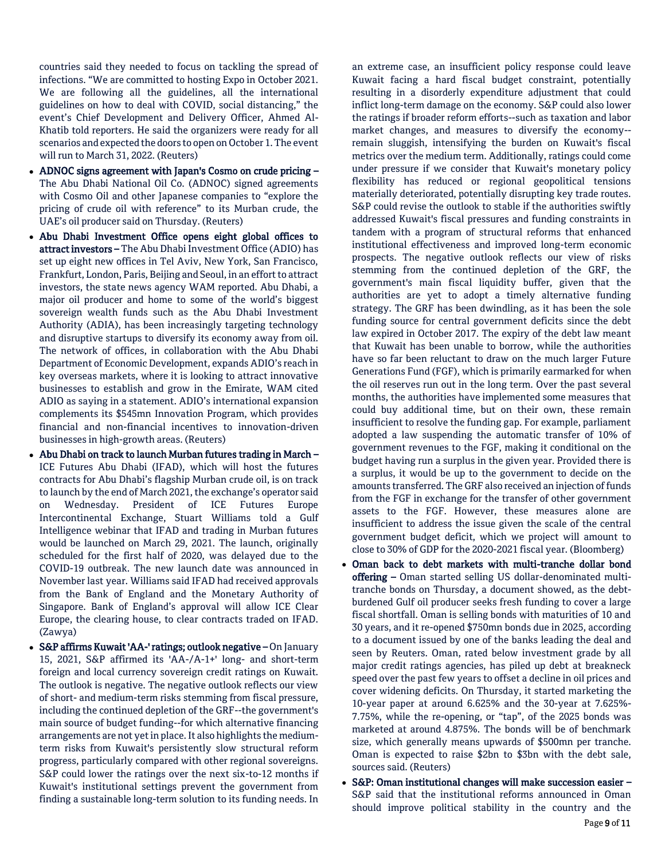countries said they needed to focus on tackling the spread of infections. "We are committed to hosting Expo in October 2021. We are following all the guidelines, all the international guidelines on how to deal with COVID, social distancing," the event's Chief Development and Delivery Officer, Ahmed Al-Khatib told reporters. He said the organizers were ready for all scenarios and expected the doors to open on October 1. The event will run to March 31, 2022. (Reuters)

- ADNOC signs agreement with Japan's Cosmo on crude pricing The Abu Dhabi National Oil Co. (ADNOC) signed agreements with Cosmo Oil and other Japanese companies to "explore the pricing of crude oil with reference" to its Murban crude, the UAE's oil producer said on Thursday. (Reuters)
- Abu Dhabi Investment Office opens eight global offices to attract investors – The Abu Dhabi Investment Office (ADIO) has set up eight new offices in Tel Aviv, New York, San Francisco, Frankfurt, London, Paris, Beijing and Seoul, in an effort to attract investors, the state news agency WAM reported. Abu Dhabi, a major oil producer and home to some of the world's biggest sovereign wealth funds such as the Abu Dhabi Investment Authority (ADIA), has been increasingly targeting technology and disruptive startups to diversify its economy away from oil. The network of offices, in collaboration with the Abu Dhabi Department of Economic Development, expands ADIO's reach in key overseas markets, where it is looking to attract innovative businesses to establish and grow in the Emirate, WAM cited ADIO as saying in a statement. ADIO's international expansion complements its \$545mn Innovation Program, which provides financial and non-financial incentives to innovation-driven businesses in high-growth areas. (Reuters)
- Abu Dhabi on track to launch Murban futures trading in March ICE Futures Abu Dhabi (IFAD), which will host the futures contracts for Abu Dhabi's flagship Murban crude oil, is on track to launch by the end of March 2021, the exchange's operator said on Wednesday. President of ICE Futures Europe Intercontinental Exchange, Stuart Williams told a Gulf Intelligence webinar that IFAD and trading in Murban futures would be launched on March 29, 2021. The launch, originally scheduled for the first half of 2020, was delayed due to the COVID-19 outbreak. The new launch date was announced in November last year. Williams said IFAD had received approvals from the Bank of England and the Monetary Authority of Singapore. Bank of England's approval will allow ICE Clear Europe, the clearing house, to clear contracts traded on IFAD. (Zawya)
- S&P affirms Kuwait 'AA-' ratings; outlook negative On January 15, 2021, S&P affirmed its 'AA-/A-1+' long- and short-term foreign and local currency sovereign credit ratings on Kuwait. The outlook is negative. The negative outlook reflects our view of short- and medium-term risks stemming from fiscal pressure, including the continued depletion of the GRF--the government's main source of budget funding--for which alternative financing arrangements are not yet in place. It also highlights the mediumterm risks from Kuwait's persistently slow structural reform progress, particularly compared with other regional sovereigns. S&P could lower the ratings over the next six-to-12 months if Kuwait's institutional settings prevent the government from finding a sustainable long-term solution to its funding needs. In

an extreme case, an insufficient policy response could leave Kuwait facing a hard fiscal budget constraint, potentially resulting in a disorderly expenditure adjustment that could inflict long-term damage on the economy. S&P could also lower the ratings if broader reform efforts--such as taxation and labor market changes, and measures to diversify the economy- remain sluggish, intensifying the burden on Kuwait's fiscal metrics over the medium term. Additionally, ratings could come under pressure if we consider that Kuwait's monetary policy flexibility has reduced or regional geopolitical tensions materially deteriorated, potentially disrupting key trade routes. S&P could revise the outlook to stable if the authorities swiftly addressed Kuwait's fiscal pressures and funding constraints in tandem with a program of structural reforms that enhanced institutional effectiveness and improved long-term economic prospects. The negative outlook reflects our view of risks stemming from the continued depletion of the GRF, the government's main fiscal liquidity buffer, given that the authorities are yet to adopt a timely alternative funding strategy. The GRF has been dwindling, as it has been the sole funding source for central government deficits since the debt law expired in October 2017. The expiry of the debt law meant that Kuwait has been unable to borrow, while the authorities have so far been reluctant to draw on the much larger Future Generations Fund (FGF), which is primarily earmarked for when the oil reserves run out in the long term. Over the past several months, the authorities have implemented some measures that could buy additional time, but on their own, these remain insufficient to resolve the funding gap. For example, parliament adopted a law suspending the automatic transfer of 10% of government revenues to the FGF, making it conditional on the budget having run a surplus in the given year. Provided there is a surplus, it would be up to the government to decide on the amounts transferred. The GRF also received an injection of funds from the FGF in exchange for the transfer of other government assets to the FGF. However, these measures alone are insufficient to address the issue given the scale of the central government budget deficit, which we project will amount to close to 30% of GDP for the 2020-2021 fiscal year. (Bloomberg)

- Oman back to debt markets with multi-tranche dollar bond offering – Oman started selling US dollar-denominated multitranche bonds on Thursday, a document showed, as the debtburdened Gulf oil producer seeks fresh funding to cover a large fiscal shortfall. Oman is selling bonds with maturities of 10 and 30 years, and it re-opened \$750mn bonds due in 2025, according to a document issued by one of the banks leading the deal and seen by Reuters. Oman, rated below investment grade by all major credit ratings agencies, has piled up debt at breakneck speed over the past few years to offset a decline in oil prices and cover widening deficits. On Thursday, it started marketing the 10-year paper at around 6.625% and the 30-year at 7.625%- 7.75%, while the re-opening, or "tap", of the 2025 bonds was marketed at around 4.875%. The bonds will be of benchmark size, which generally means upwards of \$500mn per tranche. Oman is expected to raise \$2bn to \$3bn with the debt sale, sources said. (Reuters)
- S&P: Oman institutional changes will make succession easier S&P said that the institutional reforms announced in Oman should improve political stability in the country and the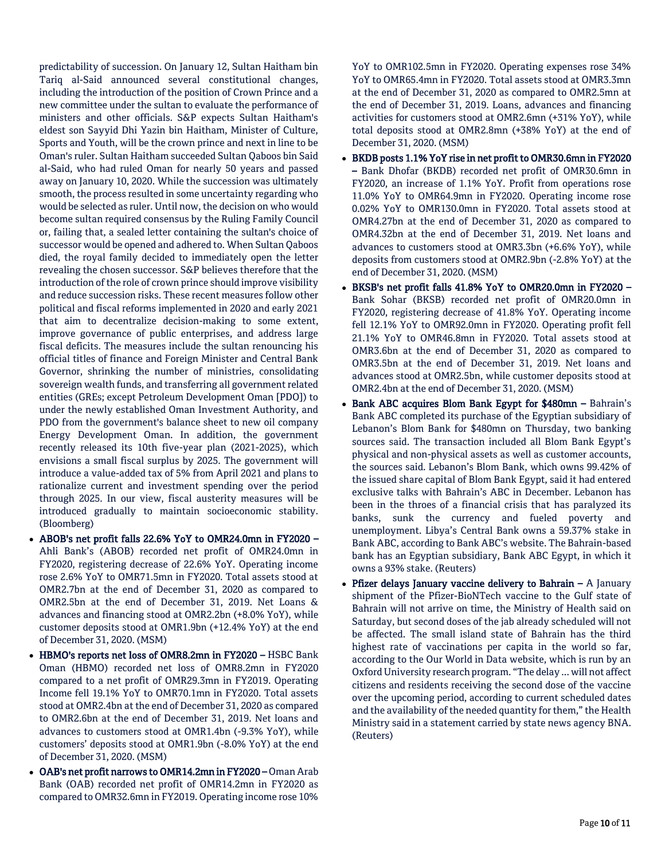predictability of succession. On January 12, Sultan Haitham bin Tariq al-Said announced several constitutional changes, including the introduction of the position of Crown Prince and a new committee under the sultan to evaluate the performance of ministers and other officials. S&P expects Sultan Haitham's eldest son Sayyid Dhi Yazin bin Haitham, Minister of Culture, Sports and Youth, will be the crown prince and next in line to be Oman's ruler. Sultan Haitham succeeded Sultan Qaboos bin Said al-Said, who had ruled Oman for nearly 50 years and passed away on January 10, 2020. While the succession was ultimately smooth, the process resulted in some uncertainty regarding who would be selected as ruler. Until now, the decision on who would become sultan required consensus by the Ruling Family Council or, failing that, a sealed letter containing the sultan's choice of successor would be opened and adhered to. When Sultan Qaboos died, the royal family decided to immediately open the letter revealing the chosen successor. S&P believes therefore that the introduction of the role of crown prince should improve visibility and reduce succession risks. These recent measures follow other political and fiscal reforms implemented in 2020 and early 2021 that aim to decentralize decision-making to some extent, improve governance of public enterprises, and address large fiscal deficits. The measures include the sultan renouncing his official titles of finance and Foreign Minister and Central Bank Governor, shrinking the number of ministries, consolidating sovereign wealth funds, and transferring all government related entities (GREs; except Petroleum Development Oman [PDO]) to under the newly established Oman Investment Authority, and PDO from the government's balance sheet to new oil company Energy Development Oman. In addition, the government recently released its 10th five-year plan (2021-2025), which envisions a small fiscal surplus by 2025. The government will introduce a value-added tax of 5% from April 2021 and plans to rationalize current and investment spending over the period through 2025. In our view, fiscal austerity measures will be introduced gradually to maintain socioeconomic stability. (Bloomberg)

- ABOB's net profit falls 22.6% YoY to OMR24.0mn in FY2020 Ahli Bank's (ABOB) recorded net profit of OMR24.0mn in FY2020, registering decrease of 22.6% YoY. Operating income rose 2.6% YoY to OMR71.5mn in FY2020. Total assets stood at OMR2.7bn at the end of December 31, 2020 as compared to OMR2.5bn at the end of December 31, 2019. Net Loans & advances and financing stood at OMR2.2bn (+8.0% YoY), while customer deposits stood at OMR1.9bn (+12.4% YoY) at the end of December 31, 2020. (MSM)
- HBMO's reports net loss of OMR8.2mn in FY2020 HSBC Bank Oman (HBMO) recorded net loss of OMR8.2mn in FY2020 compared to a net profit of OMR29.3mn in FY2019. Operating Income fell 19.1% YoY to OMR70.1mn in FY2020. Total assets stood at OMR2.4bn at the end of December 31, 2020 as compared to OMR2.6bn at the end of December 31, 2019. Net loans and advances to customers stood at OMR1.4bn (-9.3% YoY), while customers' deposits stood at OMR1.9bn (-8.0% YoY) at the end of December 31, 2020. (MSM)
- OAB's net profit narrows to OMR14.2mn in FY2020 Oman Arab Bank (OAB) recorded net profit of OMR14.2mn in FY2020 as compared to OMR32.6mn in FY2019. Operating income rose 10%

YoY to OMR102.5mn in FY2020. Operating expenses rose 34% YoY to OMR65.4mn in FY2020. Total assets stood at OMR3.3mn at the end of December 31, 2020 as compared to OMR2.5mn at the end of December 31, 2019. Loans, advances and financing activities for customers stood at OMR2.6mn (+31% YoY), while total deposits stood at OMR2.8mn (+38% YoY) at the end of December 31, 2020. (MSM)

- BKDB posts 1.1% YoY rise in net profit to OMR30.6mn in FY2020 – Bank Dhofar (BKDB) recorded net profit of OMR30.6mn in FY2020, an increase of 1.1% YoY. Profit from operations rose 11.0% YoY to OMR64.9mn in FY2020. Operating income rose 0.02% YoY to OMR130.0mn in FY2020. Total assets stood at OMR4.27bn at the end of December 31, 2020 as compared to OMR4.32bn at the end of December 31, 2019. Net loans and advances to customers stood at OMR3.3bn (+6.6% YoY), while deposits from customers stood at OMR2.9bn (-2.8% YoY) at the end of December 31, 2020. (MSM)
- BKSB's net profit falls 41.8% YoY to OMR20.0mn in FY2020 Bank Sohar (BKSB) recorded net profit of OMR20.0mn in FY2020, registering decrease of 41.8% YoY. Operating income fell 12.1% YoY to OMR92.0mn in FY2020. Operating profit fell 21.1% YoY to OMR46.8mn in FY2020. Total assets stood at OMR3.6bn at the end of December 31, 2020 as compared to OMR3.5bn at the end of December 31, 2019. Net loans and advances stood at OMR2.5bn, while customer deposits stood at OMR2.4bn at the end of December 31, 2020. (MSM)
- Bank ABC acquires Blom Bank Egypt for \$480mn Bahrain's Bank ABC completed its purchase of the Egyptian subsidiary of Lebanon's Blom Bank for \$480mn on Thursday, two banking sources said. The transaction included all Blom Bank Egypt's physical and non-physical assets as well as customer accounts, the sources said. Lebanon's Blom Bank, which owns 99.42% of the issued share capital of Blom Bank Egypt, said it had entered exclusive talks with Bahrain's ABC in December. Lebanon has been in the throes of a financial crisis that has paralyzed its banks, sunk the currency and fueled poverty and unemployment. Libya's Central Bank owns a 59.37% stake in Bank ABC, according to Bank ABC's website. The Bahrain-based bank has an Egyptian subsidiary, Bank ABC Egypt, in which it owns a 93% stake. (Reuters)
- **Pfizer delays January vaccine delivery to Bahrain A January** shipment of the Pfizer-BioNTech vaccine to the Gulf state of Bahrain will not arrive on time, the Ministry of Health said on Saturday, but second doses of the jab already scheduled will not be affected. The small island state of Bahrain has the third highest rate of vaccinations per capita in the world so far, according to the Our World in Data website, which is run by an Oxford University research program. "The delay ... will not affect citizens and residents receiving the second dose of the vaccine over the upcoming period, according to current scheduled dates and the availability of the needed quantity for them," the Health Ministry said in a statement carried by state news agency BNA. (Reuters)